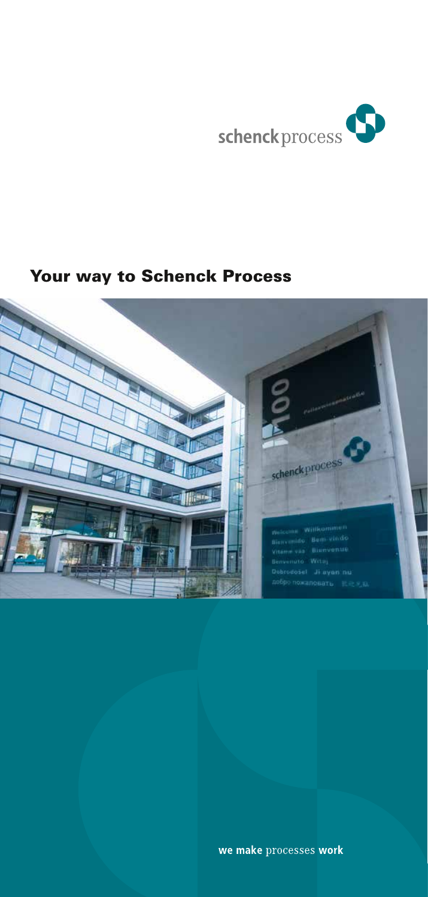

# Your way to Schenck Process

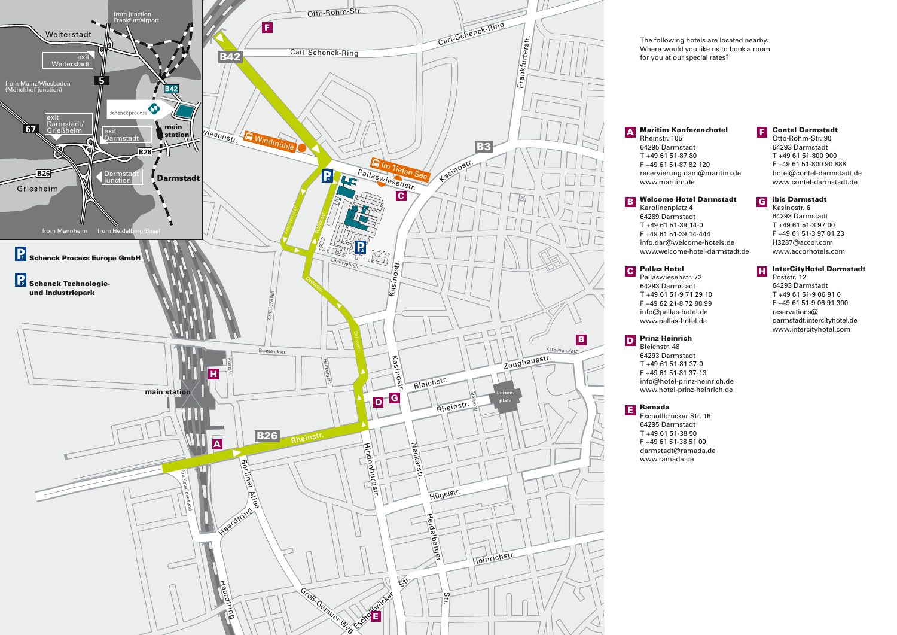

The following hotels are located nearby. Where would you like us to book a room for you at our special rates?

A

Rheinstr. 105 64295 Darmstadt T +49 61 51-87 80 F +49 61 51-87 82 120 reservierung.dam@maritim.de www.maritim.de

#### Contel Darmstadt F

ibis Darmstadt Kasinostr. 6

H

Otto-Röhm-Str. 90 64293 Darmstadt T +49 61 51-800 900 F +49 61 51-800 90 888 hotel@contel-darmstadt.de www.contel-darmstadt.de

#### Welcome Hotel Darmstadt G

F +49 61 51-39 14-444<br>
info.dar@welcome-hotel-c<br> **Pallas Hotel B Welcome Hote**<br>Karolinenplatz 4 64289 Darmstadt T +49 61 51-39 14-0 info.dar@welcome-hotels.de www.welcome-hotel-darmstadt.de

# Pallas Hotel C

Pallaswiesenstr. 72 64293 Darmstadt T +49 61 51-9 71 29 10 F +49 62 21-8 72 88 99 info@pallas-hotel.de www.pallas-hotel.de

# **D** Prinz Heinrich

www.hotel-prinz-heinrich.de Bleichstr. 48 64293 Darmstadt T +49 61 51-81 37-0 F +49 61 51-81 37-13 info@hotel-prinz-heinrich.de

# Ramada E

Tei<br>Da<br>61<br>tac<br>an Eschollbrücker Str. 16 64295 Darmstadt T +49 61 51-38 50 F +49 61 51-38 51 00 darmstadt@ramada.de www.ramada.de

### 64293 Darmstadt T +49 61 51-3 97 00 F +49 61 51-3 97 01 23 H3287@accor.com www.accorhotels.com

## InterCityHotel Darmstadt

Poststr. 12 64293 Darmstadt T +49 61 51-9 06 91 0 F +49 61 51-9 06 91 300 reservations@ darmstadt.intercityhotel.de www.intercityhotel.com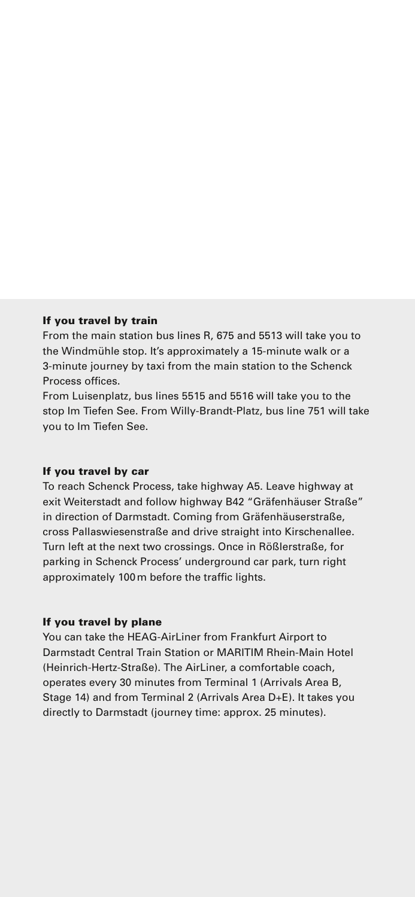### If you travel by train

From the main station bus lines R, 675 and 5513 will take you to the Windmühle stop. It's approximately a 15-minute walk or a 3-minute journey by taxi from the main station to the Schenck Process offices.

From Luisenplatz, bus lines 5515 and 5516 will take you to the stop Im Tiefen See. From Willy-Brandt-Platz, bus line 751 will take you to Im Tiefen See.

#### If you travel by car

To reach Schenck Process, take highway A5. Leave highway at exit Weiterstadt and follow highway B42 "Gräfenhäuser Straße" in direction of Darmstadt. Coming from Gräfenhäuserstraße, cross Pallaswiesenstraße and drive straight into Kirschenallee. Turn left at the next two crossings. Once in Rößlerstraße, for parking in Schenck Process' underground car park, turn right approximately 100m before the traffic lights.

### If you travel by plane

You can take the HEAG-Airl iner from Frankfurt Airport to Darmstadt Central Train Station or MARITIM Rhein-Main Hotel (Heinrich-Hertz-Straße). The AirLiner, a comfortable coach, operates every 30 minutes from Terminal 1 (Arrivals Area B, Stage 14) and from Terminal 2 (Arrivals Area D+E). It takes you directly to Darmstadt (journey time: approx. 25 minutes).